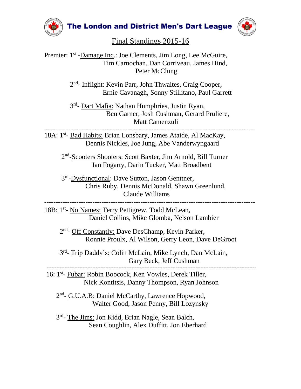

**The London and District Men's Dart League** 



--------------------------------------------------------------------------------------------------------------------------------

Final Standings 2015-16

Premier: 1<sup>st</sup> -Damage Inc.: Joe Clements, Jim Long, Lee McGuire, Tim Carnochan, Dan Corriveau, James Hind, Peter McClung

2<sup>nd</sup>- Inflight: Kevin Parr, John Thwaites, Craig Cooper, Ernie Cavanagh, Sonny Stillitano, Paul Garrett

3<sup>rd</sup>- <u>Dart Mafia:</u> Nathan Humphries, Justin Ryan, Ben Garner, Josh Cushman, Gerard Pruliere, Matt Camenzuli

---------------------------------------------------------------------------------------------------------------------------------

18A: 1st- Bad Habits: Brian Lonsbary, James Ataide, Al MacKay, Dennis Nickles, Joe Jung, Abe Vanderwyngaard

2<sup>nd</sup>-Scooters Shooters: Scott Baxter, Jim Arnold, Bill Turner Ian Fogarty, Darin Tucker, Matt Broadbent

3<sup>rd</sup>-Dysfunctional: Dave Sutton, Jason Genttner, Chris Ruby, Dennis McDonald, Shawn Greenlund, Claude Williams

-------------------------------------------------------------------------------------------- 18B: 1<sup>st</sup>- No Names: Terry Pettigrew, Todd McLean,

Daniel Collins, Mike Glomba, Nelson Lambier

2<sup>nd</sup>- Off Constantly: Dave DesChamp, Kevin Parker, Ronnie Proulx, Al Wilson, Gerry Leon, Dave DeGroot

3<sup>rd</sup>- Trip Daddy's: Colin McLain, Mike Lynch, Dan McLain, Gary Beck, Jeff Cushman

16: 1<sup>st</sup>- Fubar: Robin Boocock, Ken Vowles, Derek Tiller, Nick Kontitsis, Danny Thompson, Ryan Johnson

2<sup>nd</sup>- G.U.A.B: Daniel McCarthy, Lawrence Hopwood, Walter Good, Jason Penny, Bill Lozynsky

3<sup>rd</sup>- The Jims: Jon Kidd, Brian Nagle, Sean Balch, Sean Coughlin, Alex Duffitt, Jon Eberhard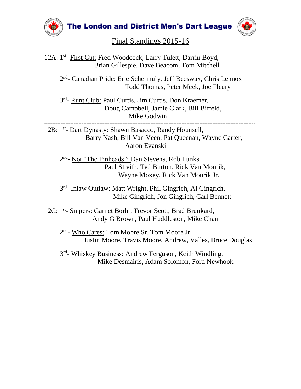

**The London and District Men's Dart League** 



## Final Standings 2015-16

12A: 1<sup>st</sup>- First Cut: Fred Woodcock, Larry Tulett, Darrin Boyd, Brian Gillespie, Dave Beacom, Tom Mitchell

2<sup>nd</sup>- Canadian Pride: Eric Schermuly, Jeff Beeswax, Chris Lennox Todd Thomas, Peter Meek, Joe Fleury

3<sup>rd</sup>- Runt Club: Paul Curtis, Jim Curtis, Don Kraemer, Doug Campbell, Jamie Clark, Bill Biffeld, Mike Godwin

--------------------------------------------------------------------------------------------------------------------------------- 12B: 1<sup>st</sup>- Dart Dynasty: Shawn Basacco, Randy Hounsell, Barry Nash, Bill Van Veen, Pat Queenan, Wayne Carter, Aaron Evanski

2<sup>nd</sup>- Not "The Pinheads": Dan Stevens, Rob Tunks, Paul Streith, Ted Burton, Rick Van Mourik, Wayne Moxey, Rick Van Mourik Jr.

3<sup>rd</sup>- Inlaw Outlaw: Matt Wright, Phil Gingrich, Al Gingrich, Mike Gingrich, Jon Gingrich, Carl Bennett

12C: 1<sup>st</sup>- Snipers: Garnet Borhi, Trevor Scott, Brad Brunkard, Andy G Brown, Paul Huddleston, Mike Chan

2<sup>nd</sup>- Who Cares: Tom Moore Sr, Tom Moore Jr, Justin Moore, Travis Moore, Andrew, Valles, Bruce Douglas

3<sup>rd</sup>- Whiskey Business: Andrew Ferguson, Keith Windling, Mike Desmairis, Adam Solomon, Ford Newhook